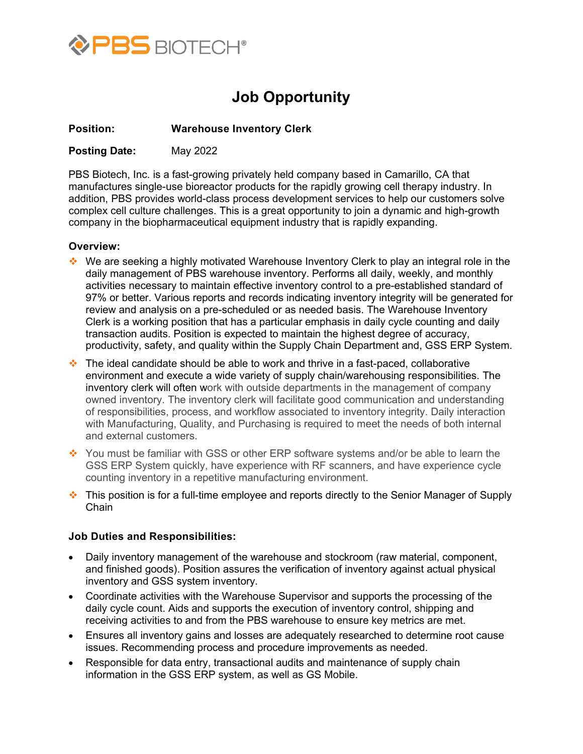

# **Job Opportunity**

## **Position: Warehouse Inventory Clerk**

**Posting Date:** May 2022

PBS Biotech, Inc. is a fast-growing privately held company based in Camarillo, CA that manufactures single-use bioreactor products for the rapidly growing cell therapy industry. In addition, PBS provides world-class process development services to help our customers solve complex cell culture challenges. This is a great opportunity to join a dynamic and high-growth company in the biopharmaceutical equipment industry that is rapidly expanding.

## **Overview:**

- $\cdot \cdot$  We are seeking a highly motivated Warehouse Inventory Clerk to play an integral role in the daily management of PBS warehouse inventory. Performs all daily, weekly, and monthly activities necessary to maintain effective inventory control to a pre-established standard of 97% or better. Various reports and records indicating inventory integrity will be generated for review and analysis on a pre-scheduled or as needed basis. The Warehouse Inventory Clerk is a working position that has a particular emphasis in daily cycle counting and daily transaction audits. Position is expected to maintain the highest degree of accuracy, productivity, safety, and quality within the Supply Chain Department and, GSS ERP System.
- $\cdot$  The ideal candidate should be able to work and thrive in a fast-paced, collaborative environment and execute a wide variety of supply chain/warehousing responsibilities. The inventory clerk will often work with outside departments in the management of company owned inventory. The inventory clerk will facilitate good communication and understanding of responsibilities, process, and workflow associated to inventory integrity. Daily interaction with Manufacturing, Quality, and Purchasing is required to meet the needs of both internal and external customers.
- You must be familiar with GSS or other ERP software systems and/or be able to learn the GSS ERP System quickly, have experience with RF scanners, and have experience cycle counting inventory in a repetitive manufacturing environment.
- $\cdot$  This position is for a full-time employee and reports directly to the Senior Manager of Supply Chain

### **Job Duties and Responsibilities:**

- Daily inventory management of the warehouse and stockroom (raw material, component, and finished goods). Position assures the verification of inventory against actual physical inventory and GSS system inventory.
- Coordinate activities with the Warehouse Supervisor and supports the processing of the daily cycle count. Aids and supports the execution of inventory control, shipping and receiving activities to and from the PBS warehouse to ensure key metrics are met.
- Ensures all inventory gains and losses are adequately researched to determine root cause issues. Recommending process and procedure improvements as needed.
- Responsible for data entry, transactional audits and maintenance of supply chain information in the GSS ERP system, as well as GS Mobile.